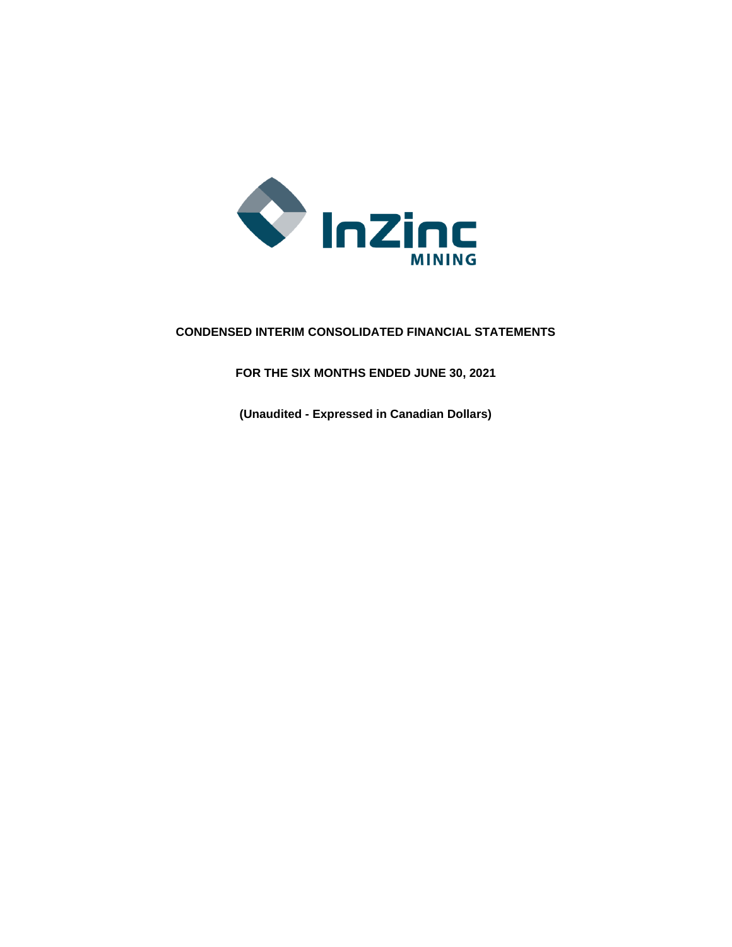

# **CONDENSED INTERIM CONSOLIDATED FINANCIAL STATEMENTS**

**FOR THE SIX MONTHS ENDED JUNE 30, 2021**

**(Unaudited - Expressed in Canadian Dollars)**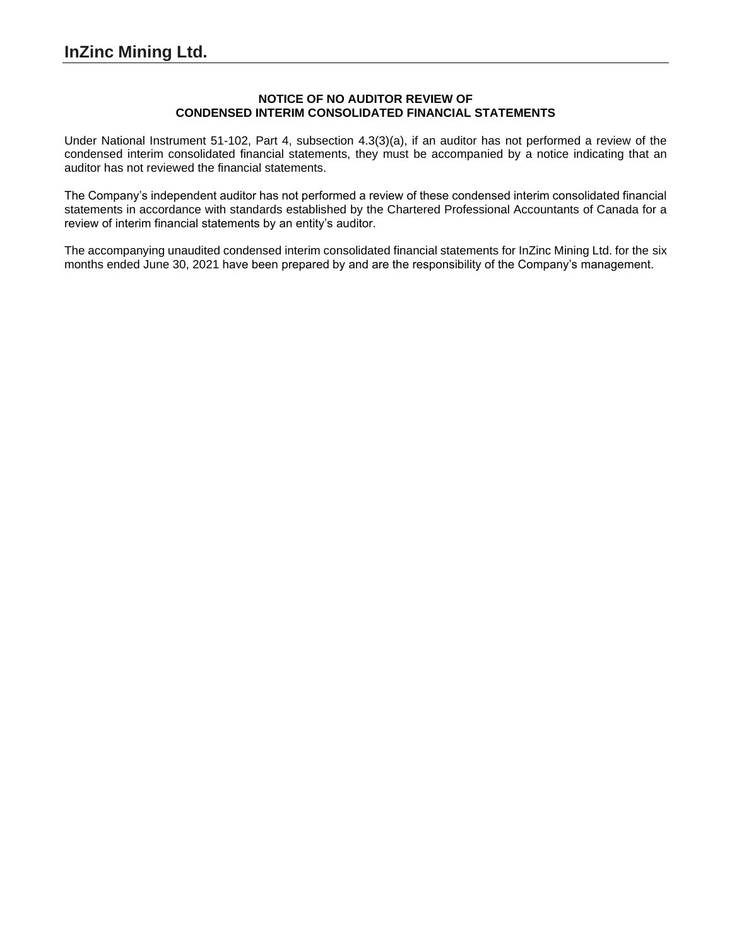## **NOTICE OF NO AUDITOR REVIEW OF CONDENSED INTERIM CONSOLIDATED FINANCIAL STATEMENTS**

Under National Instrument 51-102, Part 4, subsection 4.3(3)(a), if an auditor has not performed a review of the condensed interim consolidated financial statements, they must be accompanied by a notice indicating that an auditor has not reviewed the financial statements.

The Company's independent auditor has not performed a review of these condensed interim consolidated financial statements in accordance with standards established by the Chartered Professional Accountants of Canada for a review of interim financial statements by an entity's auditor.

The accompanying unaudited condensed interim consolidated financial statements for InZinc Mining Ltd. for the six months ended June 30, 2021 have been prepared by and are the responsibility of the Company's management.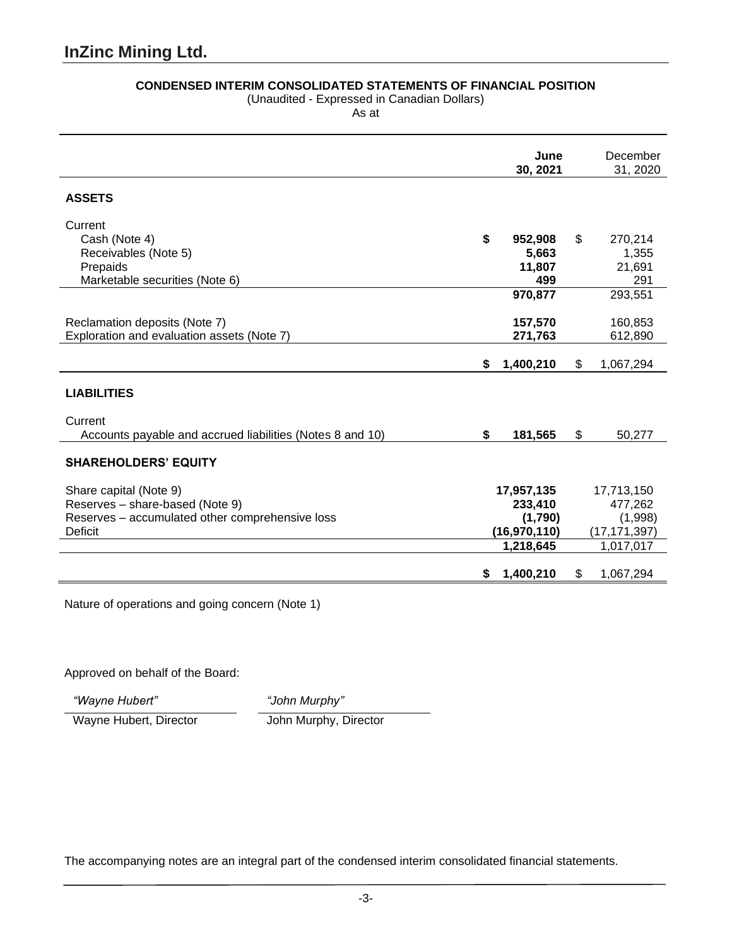# **CONDENSED INTERIM CONSOLIDATED STATEMENTS OF FINANCIAL POSITION**

(Unaudited - Expressed in Canadian Dollars)

As at

|                                                           | June<br>30, 2021 |                |    | December<br>31, 2020 |
|-----------------------------------------------------------|------------------|----------------|----|----------------------|
| <b>ASSETS</b>                                             |                  |                |    |                      |
| Current                                                   |                  |                |    |                      |
| Cash (Note 4)                                             | \$               | 952,908        | \$ | 270,214              |
| Receivables (Note 5)                                      |                  | 5,663          |    | 1,355                |
| Prepaids                                                  |                  | 11,807         |    | 21,691               |
| Marketable securities (Note 6)                            |                  | 499            |    | 291                  |
|                                                           |                  | 970,877        |    | 293,551              |
| Reclamation deposits (Note 7)                             |                  | 157,570        |    | 160,853              |
| Exploration and evaluation assets (Note 7)                |                  | 271,763        |    | 612,890              |
|                                                           |                  |                |    |                      |
|                                                           | \$               | 1,400,210      | \$ | 1,067,294            |
|                                                           |                  |                |    |                      |
| <b>LIABILITIES</b>                                        |                  |                |    |                      |
| Current                                                   |                  |                |    |                      |
| Accounts payable and accrued liabilities (Notes 8 and 10) | \$               | 181,565        | \$ | 50,277               |
|                                                           |                  |                |    |                      |
| <b>SHAREHOLDERS' EQUITY</b>                               |                  |                |    |                      |
|                                                           |                  |                |    |                      |
| Share capital (Note 9)                                    |                  | 17,957,135     |    | 17,713,150           |
| Reserves - share-based (Note 9)                           |                  | 233,410        |    | 477,262              |
| Reserves - accumulated other comprehensive loss           |                  | (1,790)        |    | (1,998)              |
| Deficit                                                   |                  | (16, 970, 110) |    | (17, 171, 397)       |
|                                                           |                  | 1,218,645      |    | 1,017,017            |
|                                                           | S                | 1,400,210      | \$ | 1,067,294            |

Nature of operations and going concern (Note 1)

Approved on behalf of the Board:

*"Wayne Hubert" "John Murphy"*

Wayne Hubert, Director John Murphy, Director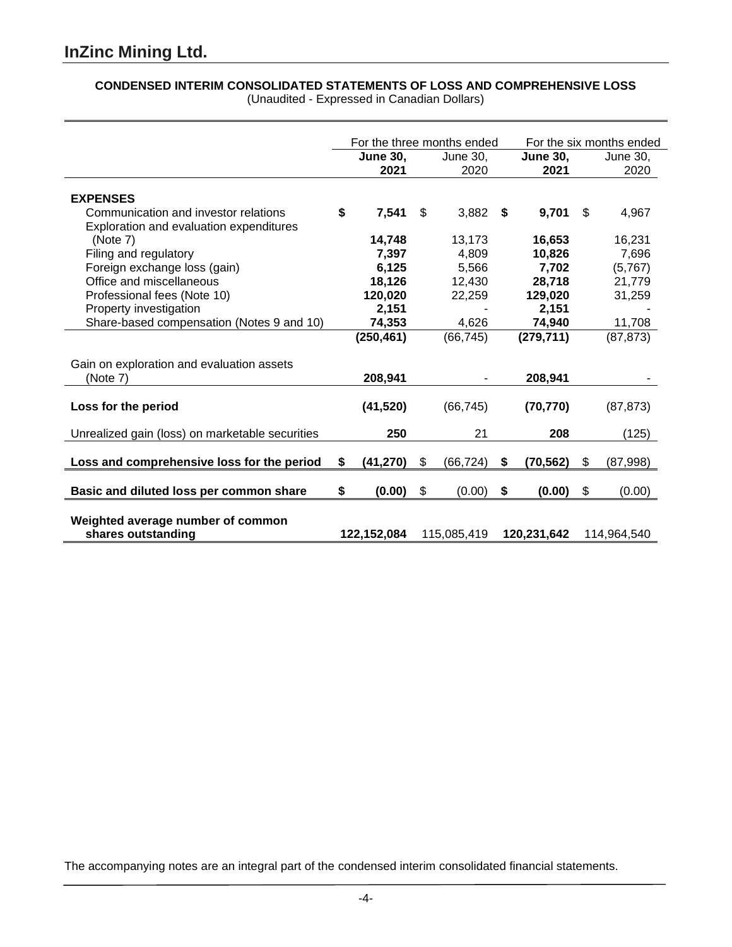# **CONDENSED INTERIM CONSOLIDATED STATEMENTS OF LOSS AND COMPREHENSIVE LOSS**

|                                                                                 | For the three months ended |                 |      |                 | For the six months ended |             |
|---------------------------------------------------------------------------------|----------------------------|-----------------|------|-----------------|--------------------------|-------------|
|                                                                                 | <b>June 30.</b>            | June 30,        |      | <b>June 30,</b> | June 30,                 |             |
|                                                                                 | 2021                       | 2020            |      | 2021            |                          | 2020        |
| <b>EXPENSES</b>                                                                 |                            |                 |      |                 |                          |             |
| Communication and investor relations<br>Exploration and evaluation expenditures | \$<br>7,541                | \$<br>3,882     | - \$ | 9,701           | \$.                      | 4,967       |
| (Note 7)                                                                        | 14,748                     | 13,173          |      | 16,653          |                          | 16,231      |
| Filing and regulatory                                                           | 7,397                      | 4,809           |      | 10,826          |                          | 7,696       |
| Foreign exchange loss (gain)                                                    | 6,125                      | 5,566           |      | 7,702           |                          | (5,767)     |
| Office and miscellaneous                                                        | 18,126                     | 12,430          |      | 28,718          |                          | 21,779      |
| Professional fees (Note 10)                                                     | 120,020                    | 22,259          |      | 129,020         |                          | 31,259      |
| Property investigation                                                          | 2,151                      |                 |      | 2,151           |                          |             |
| Share-based compensation (Notes 9 and 10)                                       | 74,353                     | 4,626           |      | 74,940          |                          | 11,708      |
|                                                                                 | (250, 461)                 | (66, 745)       |      | (279, 711)      |                          | (87, 873)   |
| Gain on exploration and evaluation assets<br>(Note 7)                           | 208,941                    |                 |      | 208,941         |                          |             |
|                                                                                 |                            |                 |      |                 |                          |             |
| Loss for the period                                                             | (41, 520)                  | (66, 745)       |      | (70, 770)       |                          | (87, 873)   |
| Unrealized gain (loss) on marketable securities                                 | 250                        | 21              |      | 208             |                          | (125)       |
|                                                                                 |                            |                 |      |                 |                          |             |
| Loss and comprehensive loss for the period                                      | \$<br>(41, 270)            | \$<br>(66, 724) | \$   | (70, 562)       | \$                       | (87,998)    |
| Basic and diluted loss per common share                                         | \$<br>(0.00)               | \$<br>(0.00)    | \$   | (0.00)          | \$                       | (0.00)      |
| Weighted average number of common<br>shares outstanding                         | 122,152,084                | 115,085,419     |      | 120,231,642     |                          | 114,964,540 |

(Unaudited - Expressed in Canadian Dollars)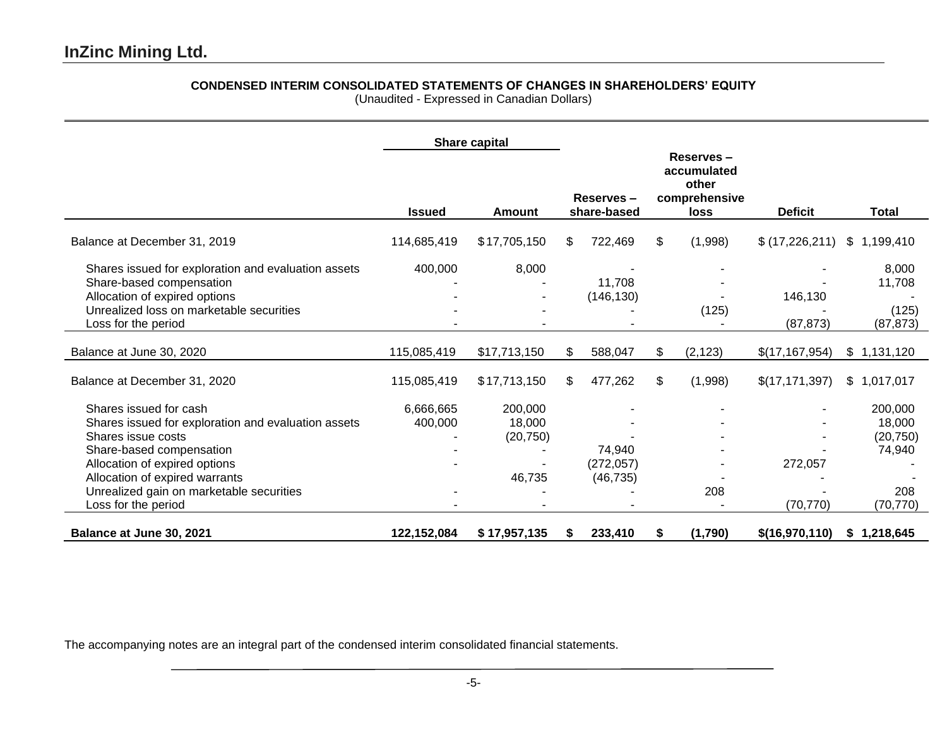# **CONDENSED INTERIM CONSOLIDATED STATEMENTS OF CHANGES IN SHAREHOLDERS' EQUITY**

(Unaudited - Expressed in Canadian Dollars)

|                                                     |               | Share capital |     |                          |                |                                                                   |                  |              |
|-----------------------------------------------------|---------------|---------------|-----|--------------------------|----------------|-------------------------------------------------------------------|------------------|--------------|
|                                                     | <b>Issued</b> | <b>Amount</b> |     | Reserves-<br>share-based |                | Reserves-<br>accumulated<br>other<br>comprehensive<br><b>loss</b> | <b>Deficit</b>   | <b>Total</b> |
| Balance at December 31, 2019                        | 114,685,419   | \$17,705,150  | S.  | 722,469                  | \$             | (1,998)                                                           | \$(17,226,211)   | \$1,199,410  |
| Shares issued for exploration and evaluation assets | 400,000       | 8,000         |     |                          |                |                                                                   |                  | 8,000        |
| Share-based compensation                            |               |               |     | 11,708                   |                |                                                                   |                  | 11,708       |
| Allocation of expired options                       |               |               |     | (146, 130)               |                |                                                                   | 146,130          |              |
| Unrealized loss on marketable securities            |               |               |     |                          |                | (125)                                                             |                  | (125)        |
| Loss for the period                                 |               |               |     |                          |                |                                                                   | (87, 873)        | (87, 873)    |
| Balance at June 30, 2020                            | 115,085,419   | \$17,713,150  | \$  | 588,047                  | \$             | (2, 123)                                                          | \$(17, 167, 954) | \$1,131,120  |
| Balance at December 31, 2020                        | 115,085,419   | \$17,713,150  | \$. | 477,262                  | $\mathfrak{S}$ | (1,998)                                                           | \$(17, 171, 397) | \$1,017,017  |
| Shares issued for cash                              | 6,666,665     | 200,000       |     |                          |                |                                                                   |                  | 200,000      |
| Shares issued for exploration and evaluation assets | 400,000       | 18,000        |     |                          |                |                                                                   |                  | 18,000       |
| Shares issue costs                                  |               | (20, 750)     |     |                          |                |                                                                   |                  | (20, 750)    |
| Share-based compensation                            |               |               |     | 74,940                   |                |                                                                   |                  | 74,940       |
| Allocation of expired options                       |               |               |     | (272, 057)               |                |                                                                   | 272,057          |              |
| Allocation of expired warrants                      |               | 46,735        |     | (46, 735)                |                |                                                                   |                  |              |
| Unrealized gain on marketable securities            |               |               |     |                          |                | 208                                                               |                  | 208          |
| Loss for the period                                 |               |               |     |                          |                |                                                                   | (70, 770)        | (70, 770)    |
| Balance at June 30, 2021                            | 122,152,084   | \$17,957,135  | S.  | 233,410                  | \$             | (1,790)                                                           | \$(16,970,110)   | \$1,218,645  |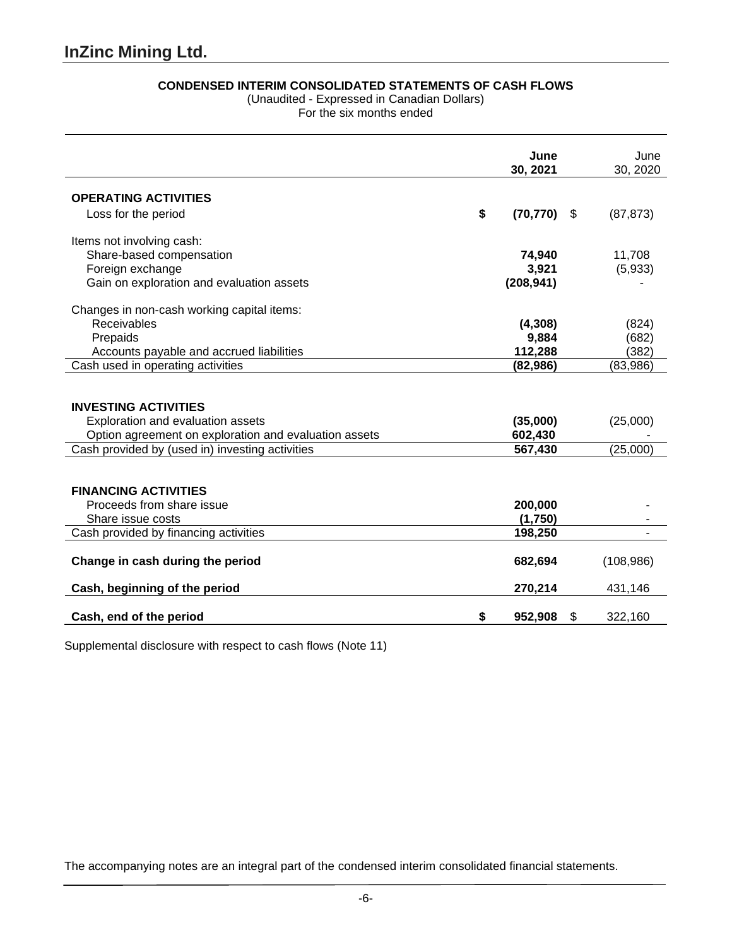# **CONDENSED INTERIM CONSOLIDATED STATEMENTS OF CASH FLOWS**

(Unaudited - Expressed in Canadian Dollars)

For the six months ended

|                                                                                                                           |    | June<br>30, 2021    |     | June<br>30, 2020      |
|---------------------------------------------------------------------------------------------------------------------------|----|---------------------|-----|-----------------------|
| <b>OPERATING ACTIVITIES</b>                                                                                               |    |                     |     |                       |
| Loss for the period                                                                                                       | \$ | (70, 770)           | \$. | (87, 873)             |
| Items not involving cash:                                                                                                 |    |                     |     |                       |
| Share-based compensation                                                                                                  |    | 74,940              |     | 11,708                |
| Foreign exchange                                                                                                          |    | 3,921               |     | (5,933)               |
| Gain on exploration and evaluation assets                                                                                 |    | (208, 941)          |     |                       |
| Changes in non-cash working capital items:                                                                                |    |                     |     |                       |
| Receivables                                                                                                               |    | (4,308)             |     | (824)                 |
| Prepaids                                                                                                                  |    | 9,884               |     | (682)                 |
| Accounts payable and accrued liabilities                                                                                  |    | 112,288             |     | (382)                 |
| Cash used in operating activities                                                                                         |    | (82, 986)           |     | (83,986)              |
| <b>INVESTING ACTIVITIES</b><br>Exploration and evaluation assets<br>Option agreement on exploration and evaluation assets |    | (35,000)<br>602,430 |     | (25,000)              |
| Cash provided by (used in) investing activities                                                                           |    | 567,430             |     | (25,000)              |
| <b>FINANCING ACTIVITIES</b><br>Proceeds from share issue<br>Share issue costs                                             |    | 200,000<br>(1,750)  |     |                       |
| Cash provided by financing activities                                                                                     |    | 198,250             |     |                       |
| Change in cash during the period<br>Cash, beginning of the period                                                         |    | 682,694<br>270,214  |     | (108, 986)<br>431,146 |
|                                                                                                                           |    |                     |     |                       |
| Cash, end of the period                                                                                                   | S  | 952,908             | S   | 322,160               |

Supplemental disclosure with respect to cash flows (Note 11)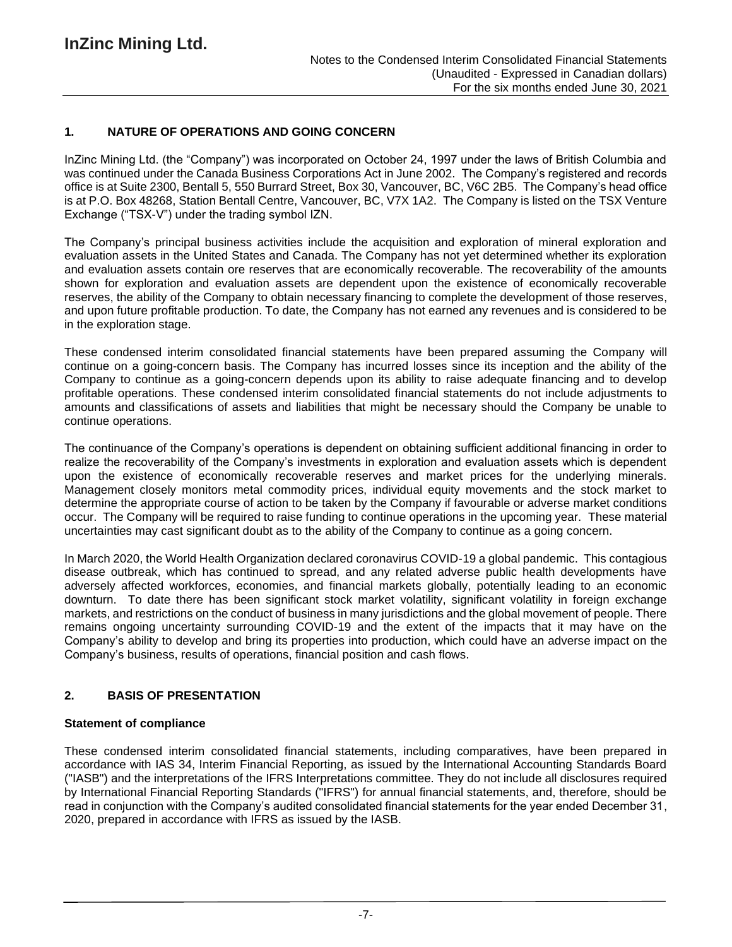# **1. NATURE OF OPERATIONS AND GOING CONCERN**

InZinc Mining Ltd. (the "Company") was incorporated on October 24, 1997 under the laws of British Columbia and was continued under the Canada Business Corporations Act in June 2002. The Company's registered and records office is at Suite 2300, Bentall 5, 550 Burrard Street, Box 30, Vancouver, BC, V6C 2B5. The Company's head office is at P.O. Box 48268, Station Bentall Centre, Vancouver, BC, V7X 1A2. The Company is listed on the TSX Venture Exchange ("TSX-V") under the trading symbol IZN.

The Company's principal business activities include the acquisition and exploration of mineral exploration and evaluation assets in the United States and Canada. The Company has not yet determined whether its exploration and evaluation assets contain ore reserves that are economically recoverable. The recoverability of the amounts shown for exploration and evaluation assets are dependent upon the existence of economically recoverable reserves, the ability of the Company to obtain necessary financing to complete the development of those reserves, and upon future profitable production. To date, the Company has not earned any revenues and is considered to be in the exploration stage.

These condensed interim consolidated financial statements have been prepared assuming the Company will continue on a going-concern basis. The Company has incurred losses since its inception and the ability of the Company to continue as a going-concern depends upon its ability to raise adequate financing and to develop profitable operations. These condensed interim consolidated financial statements do not include adjustments to amounts and classifications of assets and liabilities that might be necessary should the Company be unable to continue operations.

The continuance of the Company's operations is dependent on obtaining sufficient additional financing in order to realize the recoverability of the Company's investments in exploration and evaluation assets which is dependent upon the existence of economically recoverable reserves and market prices for the underlying minerals. Management closely monitors metal commodity prices, individual equity movements and the stock market to determine the appropriate course of action to be taken by the Company if favourable or adverse market conditions occur. The Company will be required to raise funding to continue operations in the upcoming year. These material uncertainties may cast significant doubt as to the ability of the Company to continue as a going concern.

In March 2020, the World Health Organization declared coronavirus COVID-19 a global pandemic. This contagious disease outbreak, which has continued to spread, and any related adverse public health developments have adversely affected workforces, economies, and financial markets globally, potentially leading to an economic downturn. To date there has been significant stock market volatility, significant volatility in foreign exchange markets, and restrictions on the conduct of business in many jurisdictions and the global movement of people. There remains ongoing uncertainty surrounding COVID-19 and the extent of the impacts that it may have on the Company's ability to develop and bring its properties into production, which could have an adverse impact on the Company's business, results of operations, financial position and cash flows.

# **2. BASIS OF PRESENTATION**

### **Statement of compliance**

These condensed interim consolidated financial statements, including comparatives, have been prepared in accordance with IAS 34, Interim Financial Reporting, as issued by the International Accounting Standards Board ("IASB") and the interpretations of the IFRS Interpretations committee. They do not include all disclosures required by International Financial Reporting Standards ("IFRS") for annual financial statements, and, therefore, should be read in conjunction with the Company's audited consolidated financial statements for the year ended December 31, 2020, prepared in accordance with IFRS as issued by the IASB.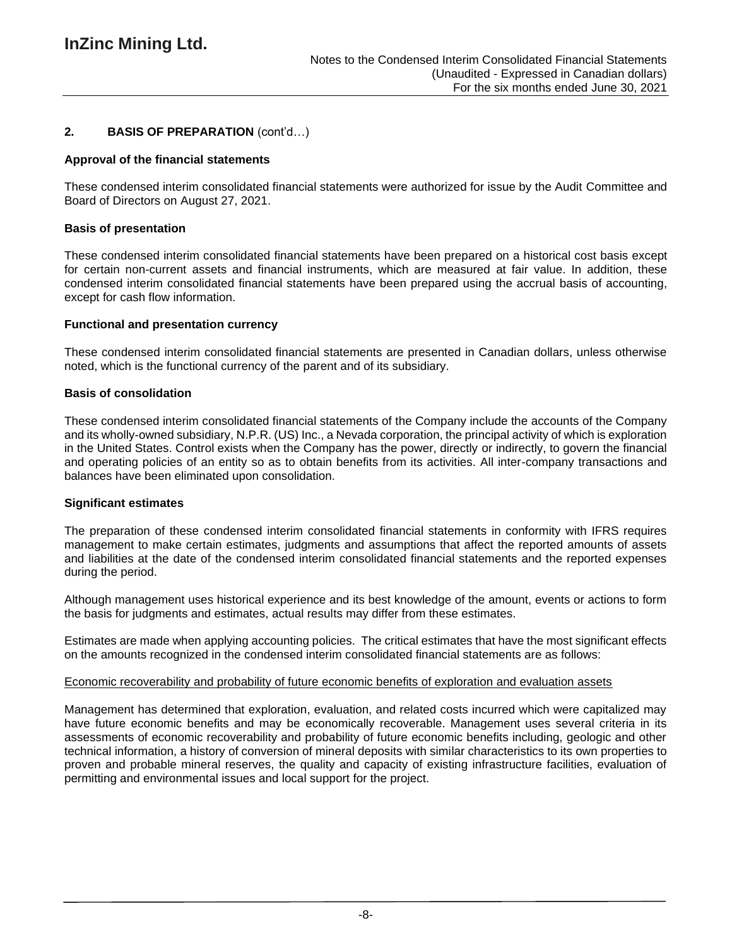# **2. BASIS OF PREPARATION** (cont'd…)

## **Approval of the financial statements**

These condensed interim consolidated financial statements were authorized for issue by the Audit Committee and Board of Directors on August 27, 2021.

### **Basis of presentation**

These condensed interim consolidated financial statements have been prepared on a historical cost basis except for certain non-current assets and financial instruments, which are measured at fair value. In addition, these condensed interim consolidated financial statements have been prepared using the accrual basis of accounting, except for cash flow information.

## **Functional and presentation currency**

These condensed interim consolidated financial statements are presented in Canadian dollars, unless otherwise noted, which is the functional currency of the parent and of its subsidiary.

## **Basis of consolidation**

These condensed interim consolidated financial statements of the Company include the accounts of the Company and its wholly-owned subsidiary, N.P.R. (US) Inc., a Nevada corporation, the principal activity of which is exploration in the United States. Control exists when the Company has the power, directly or indirectly, to govern the financial and operating policies of an entity so as to obtain benefits from its activities. All inter-company transactions and balances have been eliminated upon consolidation.

#### **Significant estimates**

The preparation of these condensed interim consolidated financial statements in conformity with IFRS requires management to make certain estimates, judgments and assumptions that affect the reported amounts of assets and liabilities at the date of the condensed interim consolidated financial statements and the reported expenses during the period.

Although management uses historical experience and its best knowledge of the amount, events or actions to form the basis for judgments and estimates, actual results may differ from these estimates.

Estimates are made when applying accounting policies. The critical estimates that have the most significant effects on the amounts recognized in the condensed interim consolidated financial statements are as follows:

#### Economic recoverability and probability of future economic benefits of exploration and evaluation assets

Management has determined that exploration, evaluation, and related costs incurred which were capitalized may have future economic benefits and may be economically recoverable. Management uses several criteria in its assessments of economic recoverability and probability of future economic benefits including, geologic and other technical information, a history of conversion of mineral deposits with similar characteristics to its own properties to proven and probable mineral reserves, the quality and capacity of existing infrastructure facilities, evaluation of permitting and environmental issues and local support for the project.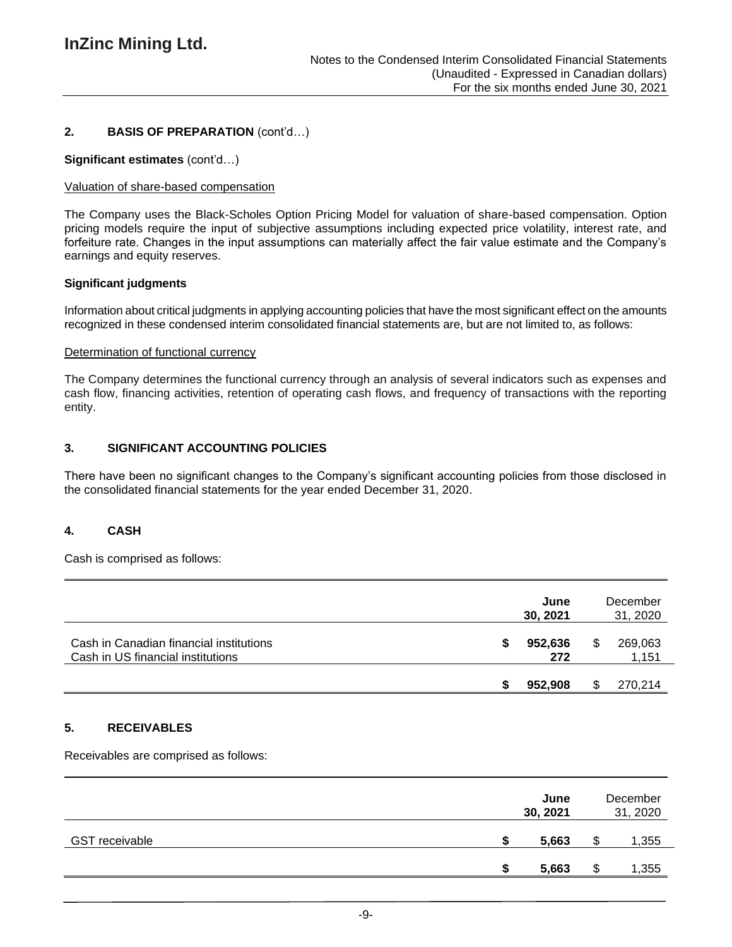# **2. BASIS OF PREPARATION** (cont'd…)

## **Significant estimates** (cont'd…)

## Valuation of share-based compensation

The Company uses the Black-Scholes Option Pricing Model for valuation of share-based compensation. Option pricing models require the input of subjective assumptions including expected price volatility, interest rate, and forfeiture rate. Changes in the input assumptions can materially affect the fair value estimate and the Company's earnings and equity reserves.

## **Significant judgments**

Information about critical judgments in applying accounting policies that have the most significant effect on the amounts recognized in these condensed interim consolidated financial statements are, but are not limited to, as follows:

#### Determination of functional currency

The Company determines the functional currency through an analysis of several indicators such as expenses and cash flow, financing activities, retention of operating cash flows, and frequency of transactions with the reporting entity.

## **3. SIGNIFICANT ACCOUNTING POLICIES**

There have been no significant changes to the Company's significant accounting policies from those disclosed in the consolidated financial statements for the year ended December 31, 2020.

# **4. CASH**

Cash is comprised as follows:

|                                                                              | June<br>30, 2021 | December<br>31, 2020 |
|------------------------------------------------------------------------------|------------------|----------------------|
| Cash in Canadian financial institutions<br>Cash in US financial institutions | 952,636<br>272   | 269,063<br>1,151     |
|                                                                              | 952.908          | 270,214              |

#### **5. RECEIVABLES**

Receivables are comprised as follows:

|                       |   | June<br>30, 2021 |   | December<br>31, 2020 |
|-----------------------|---|------------------|---|----------------------|
| <b>GST</b> receivable | S | 5,663            |   | 1,355                |
|                       | S | 5,663            | จ | 1,355                |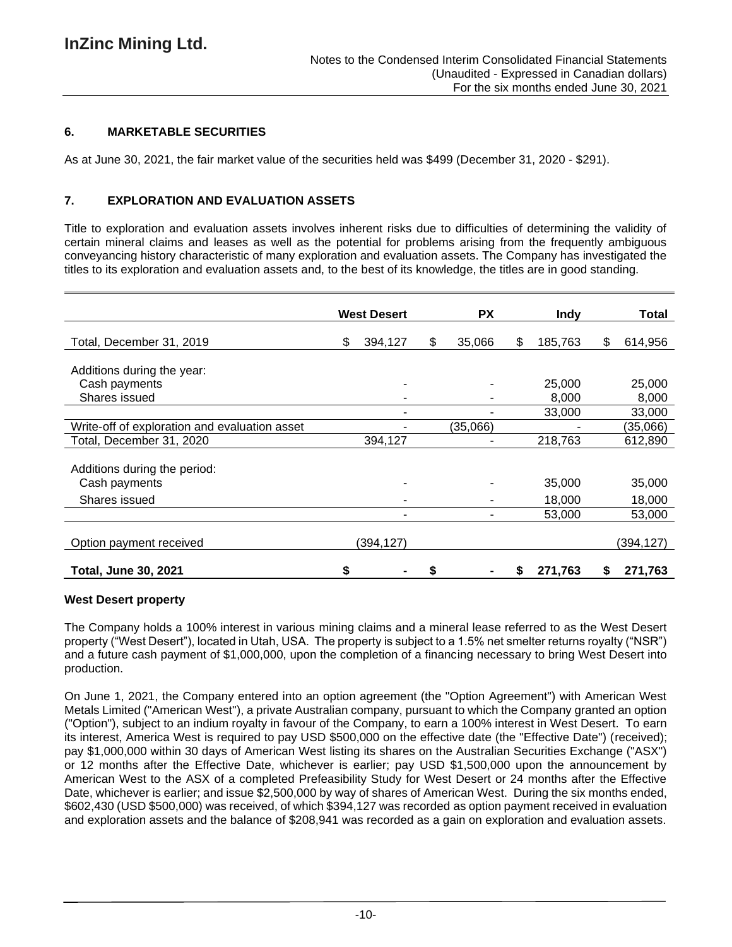## **6. MARKETABLE SECURITIES**

As at June 30, 2021, the fair market value of the securities held was \$499 (December 31, 2020 - \$291).

## **7. EXPLORATION AND EVALUATION ASSETS**

Title to exploration and evaluation assets involves inherent risks due to difficulties of determining the validity of certain mineral claims and leases as well as the potential for problems arising from the frequently ambiguous conveyancing history characteristic of many exploration and evaluation assets. The Company has investigated the titles to its exploration and evaluation assets and, to the best of its knowledge, the titles are in good standing.

|                                               | <b>West Desert</b> |    | <b>PX</b> | Indy          |    | Total     |
|-----------------------------------------------|--------------------|----|-----------|---------------|----|-----------|
| Total, December 31, 2019                      | \$<br>394,127      | \$ | 35,066    | \$<br>185,763 | \$ | 614,956   |
| Additions during the year:                    |                    |    |           |               |    |           |
| Cash payments                                 |                    |    |           | 25,000        |    | 25,000    |
| Shares issued                                 |                    |    |           | 8,000         |    | 8,000     |
|                                               |                    |    |           | 33,000        |    | 33,000    |
| Write-off of exploration and evaluation asset |                    |    | (35,066)  |               |    | (35,066)  |
| Total, December 31, 2020                      | 394,127            |    |           | 218,763       |    | 612,890   |
| Additions during the period:<br>Cash payments |                    |    |           | 35,000        |    | 35,000    |
| Shares issued                                 |                    |    |           | 18,000        |    | 18,000    |
|                                               |                    |    |           | 53,000        |    | 53,000    |
| Option payment received                       | (394,127)          |    |           |               |    | (394,127) |
| <b>Total, June 30, 2021</b>                   | \$                 | S  |           | 271,763       | S  | 271,763   |

#### **West Desert property**

The Company holds a 100% interest in various mining claims and a mineral lease referred to as the West Desert property ("West Desert"), located in Utah, USA. The property is subject to a 1.5% net smelter returns royalty ("NSR") and a future cash payment of \$1,000,000, upon the completion of a financing necessary to bring West Desert into production.

On June 1, 2021, the Company entered into an option agreement (the "Option Agreement") with American West Metals Limited ("American West"), a private Australian company, pursuant to which the Company granted an option ("Option"), subject to an indium royalty in favour of the Company, to earn a 100% interest in West Desert. To earn its interest, America West is required to pay USD \$500,000 on the effective date (the "Effective Date") (received); pay \$1,000,000 within 30 days of American West listing its shares on the Australian Securities Exchange ("ASX") or 12 months after the Effective Date, whichever is earlier; pay USD \$1,500,000 upon the announcement by American West to the ASX of a completed Prefeasibility Study for West Desert or 24 months after the Effective Date, whichever is earlier; and issue \$2,500,000 by way of shares of American West. During the six months ended, \$602,430 (USD \$500,000) was received, of which \$394,127 was recorded as option payment received in evaluation and exploration assets and the balance of \$208,941 was recorded as a gain on exploration and evaluation assets.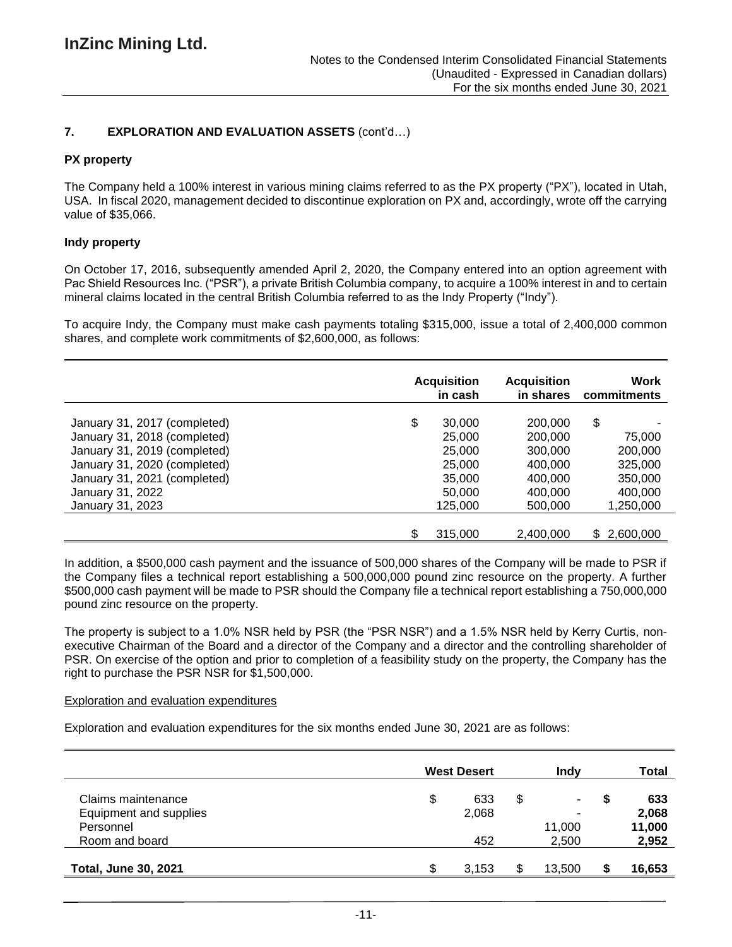# **7. EXPLORATION AND EVALUATION ASSETS** (cont'd…)

## **PX property**

The Company held a 100% interest in various mining claims referred to as the PX property ("PX"), located in Utah, USA. In fiscal 2020, management decided to discontinue exploration on PX and, accordingly, wrote off the carrying value of \$35,066.

## **Indy property**

On October 17, 2016, subsequently amended April 2, 2020, the Company entered into an option agreement with Pac Shield Resources Inc. ("PSR"), a private British Columbia company, to acquire a 100% interest in and to certain mineral claims located in the central British Columbia referred to as the Indy Property ("Indy").

To acquire Indy, the Company must make cash payments totaling \$315,000, issue a total of 2,400,000 common shares, and complete work commitments of \$2,600,000, as follows:

|                              | <b>Acquisition</b><br>in cash | <b>Acquisition</b><br>in shares | Work<br>commitments |
|------------------------------|-------------------------------|---------------------------------|---------------------|
| January 31, 2017 (completed) | \$<br>30,000                  | 200,000                         | \$                  |
| January 31, 2018 (completed) | 25,000                        | 200,000                         | 75,000              |
| January 31, 2019 (completed) | 25,000                        | 300,000                         | 200,000             |
| January 31, 2020 (completed) | 25,000                        | 400,000                         | 325,000             |
| January 31, 2021 (completed) | 35,000                        | 400,000                         | 350,000             |
| January 31, 2022             | 50,000                        | 400,000                         | 400,000             |
| January 31, 2023             | 125,000                       | 500,000                         | 1,250,000           |
|                              | 315,000                       | 2,400,000                       | 2,600,000<br>\$.    |

In addition, a \$500,000 cash payment and the issuance of 500,000 shares of the Company will be made to PSR if the Company files a technical report establishing a 500,000,000 pound zinc resource on the property. A further \$500,000 cash payment will be made to PSR should the Company file a technical report establishing a 750,000,000 pound zinc resource on the property.

The property is subject to a 1.0% NSR held by PSR (the "PSR NSR") and a 1.5% NSR held by Kerry Curtis, nonexecutive Chairman of the Board and a director of the Company and a director and the controlling shareholder of PSR. On exercise of the option and prior to completion of a feasibility study on the property, the Company has the right to purchase the PSR NSR for \$1,500,000.

#### Exploration and evaluation expenditures

Exploration and evaluation expenditures for the six months ended June 30, 2021 are as follows:

|                             |         | <b>West Desert</b> |   | Indv   |   | Total  |
|-----------------------------|---------|--------------------|---|--------|---|--------|
| Claims maintenance          | \$      | 633                | S | ۰.     | S | 633    |
| Equipment and supplies      |         | 2,068              |   | ۰      |   | 2,068  |
| Personnel                   |         |                    |   | 11,000 |   | 11,000 |
| Room and board              |         | 452                |   | 2,500  |   | 2,952  |
| <b>Total, June 30, 2021</b> | œ<br>ъ. | 3.153              |   | 13.500 |   | 16,653 |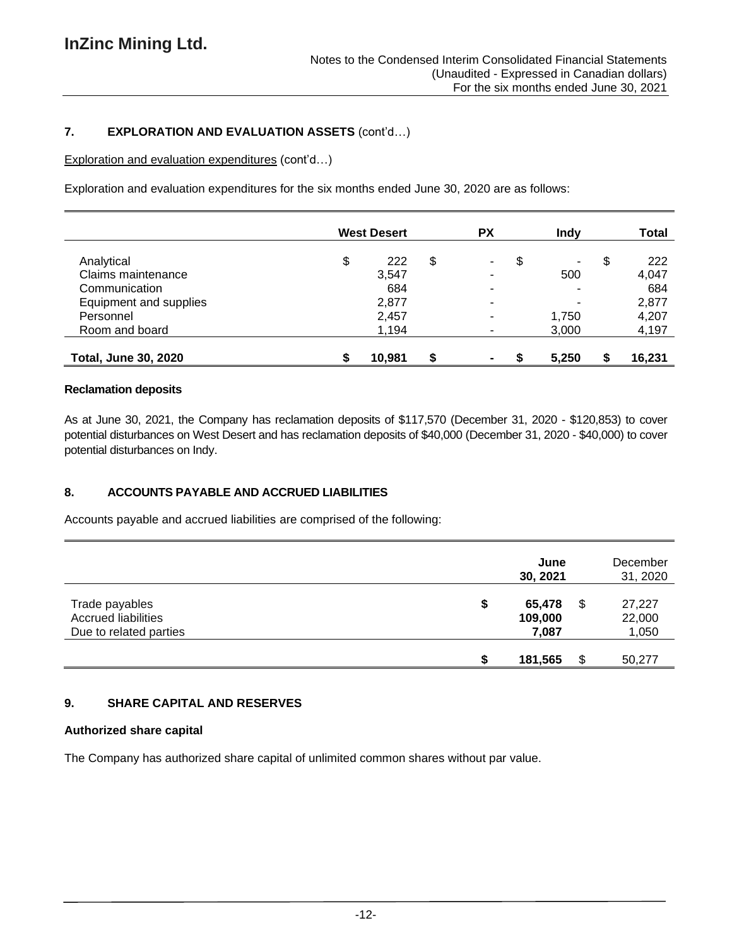# **7. EXPLORATION AND EVALUATION ASSETS** (cont'd…)

Exploration and evaluation expenditures (cont'd…)

Exploration and evaluation expenditures for the six months ended June 30, 2020 are as follows:

|                             | <b>West Desert</b> |   | <b>PX</b>      | <b>Indv</b> | Total     |
|-----------------------------|--------------------|---|----------------|-------------|-----------|
| Analytical                  | \$<br>222          | S | ٠.             | \$<br>٠     | \$<br>222 |
| Claims maintenance          | 3,547              |   | ۰              | 500         | 4,047     |
| Communication               | 684                |   | ۰              |             | 684       |
| Equipment and supplies      | 2,877              |   | ۰              |             | 2,877     |
| Personnel                   | 2,457              |   | ۰              | 1.750       | 4,207     |
| Room and board              | 1,194              |   | ۰              | 3,000       | 4,197     |
| <b>Total, June 30, 2020</b> | 10,981             |   | $\blacksquare$ | 5,250       | 16,231    |

## **Reclamation deposits**

As at June 30, 2021, the Company has reclamation deposits of \$117,570 (December 31, 2020 - \$120,853) to cover potential disturbances on West Desert and has reclamation deposits of \$40,000 (December 31, 2020 - \$40,000) to cover potential disturbances on Indy.

# **8. ACCOUNTS PAYABLE AND ACCRUED LIABILITIES**

Accounts payable and accrued liabilities are comprised of the following:

|                                                                        |    | June<br>30, 2021           |    | December<br>31, 2020      |
|------------------------------------------------------------------------|----|----------------------------|----|---------------------------|
| Trade payables<br><b>Accrued liabilities</b><br>Due to related parties | \$ | 65,478<br>109,000<br>7,087 | \$ | 27,227<br>22,000<br>1,050 |
|                                                                        | ደ  | 181,565                    | S  | 50,277                    |

# **9. SHARE CAPITAL AND RESERVES**

# **Authorized share capital**

The Company has authorized share capital of unlimited common shares without par value.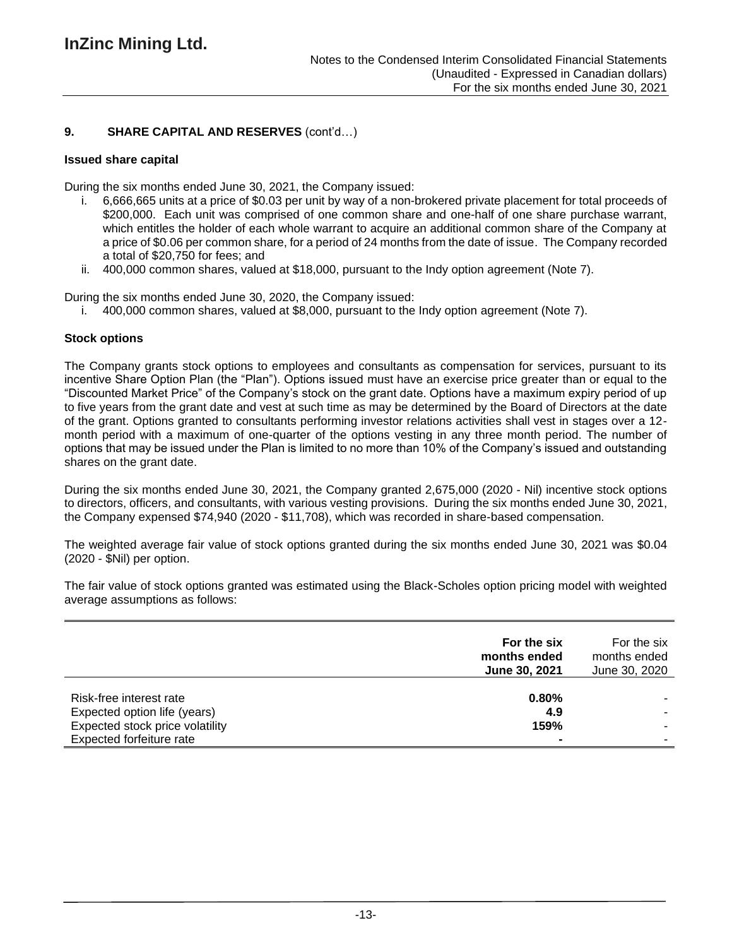# **9. SHARE CAPITAL AND RESERVES** (cont'd…)

## **Issued share capital**

During the six months ended June 30, 2021, the Company issued:

- i. 6,666,665 units at a price of \$0.03 per unit by way of a non-brokered private placement for total proceeds of \$200,000. Each unit was comprised of one common share and one-half of one share purchase warrant, which entitles the holder of each whole warrant to acquire an additional common share of the Company at a price of \$0.06 per common share, for a period of 24 months from the date of issue. The Company recorded a total of \$20,750 for fees; and
- ii. 400,000 common shares, valued at \$18,000, pursuant to the Indy option agreement (Note 7).

During the six months ended June 30, 2020, the Company issued:

i. 400,000 common shares, valued at \$8,000, pursuant to the Indy option agreement (Note 7).

## **Stock options**

The Company grants stock options to employees and consultants as compensation for services, pursuant to its incentive Share Option Plan (the "Plan"). Options issued must have an exercise price greater than or equal to the "Discounted Market Price" of the Company's stock on the grant date. Options have a maximum expiry period of up to five years from the grant date and vest at such time as may be determined by the Board of Directors at the date of the grant. Options granted to consultants performing investor relations activities shall vest in stages over a 12 month period with a maximum of one-quarter of the options vesting in any three month period. The number of options that may be issued under the Plan is limited to no more than 10% of the Company's issued and outstanding shares on the grant date.

During the six months ended June 30, 2021, the Company granted 2,675,000 (2020 - Nil) incentive stock options to directors, officers, and consultants, with various vesting provisions. During the six months ended June 30, 2021, the Company expensed \$74,940 (2020 - \$11,708), which was recorded in share-based compensation.

The weighted average fair value of stock options granted during the six months ended June 30, 2021 was \$0.04 (2020 - \$Nil) per option.

The fair value of stock options granted was estimated using the Black-Scholes option pricing model with weighted average assumptions as follows:

|                                                             | For the six<br>months ended<br>June 30, 2021 | For the six<br>months ended<br>June 30, 2020 |
|-------------------------------------------------------------|----------------------------------------------|----------------------------------------------|
| Risk-free interest rate<br>Expected option life (years)     | 0.80%<br>4.9                                 |                                              |
| Expected stock price volatility<br>Expected forfeiture rate | 159%                                         |                                              |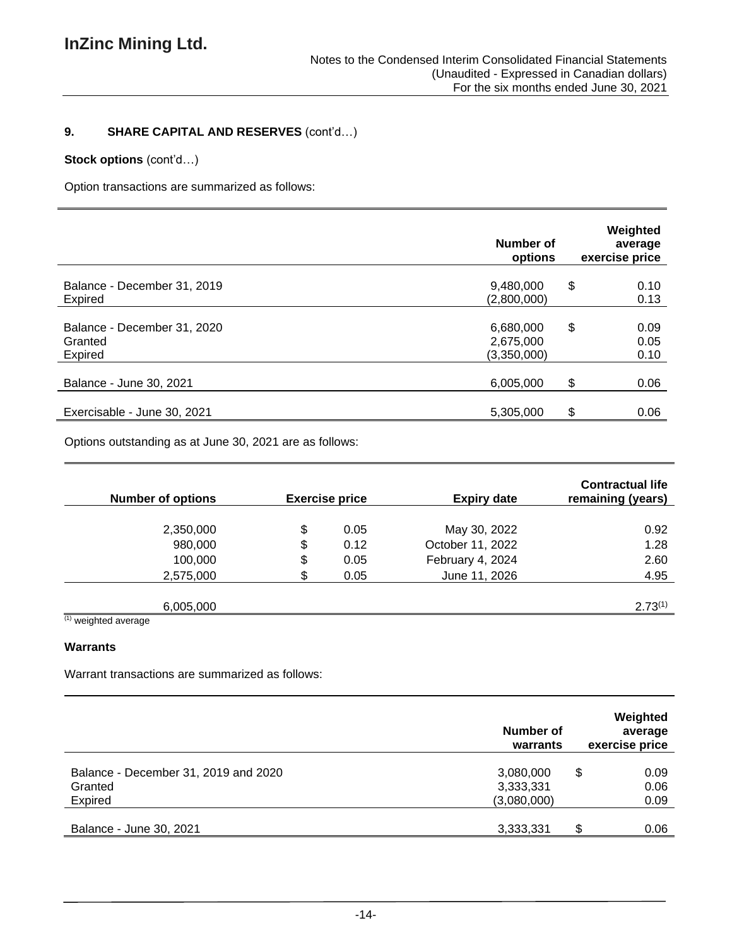# **9. SHARE CAPITAL AND RESERVES** (cont'd…)

# **Stock options** (cont'd…)

Option transactions are summarized as follows:

|                                                   | Number of<br>options                  | Weighted<br>average<br>exercise price |
|---------------------------------------------------|---------------------------------------|---------------------------------------|
| Balance - December 31, 2019<br><b>Expired</b>     | 9,480,000<br>(2,800,000)              | \$<br>0.10<br>0.13                    |
| Balance - December 31, 2020<br>Granted<br>Expired | 6,680,000<br>2,675,000<br>(3,350,000) | \$<br>0.09<br>0.05<br>0.10            |
| Balance - June 30, 2021                           | 6,005,000                             | \$<br>0.06                            |
| Exercisable - June 30, 2021                       | 5,305,000                             | \$<br>0.06                            |

Options outstanding as at June 30, 2021 are as follows:

|                         | <b>Number of options</b> |     | <b>Exercise price</b> | <b>Expiry date</b> | <b>Contractual life</b><br>remaining (years) |
|-------------------------|--------------------------|-----|-----------------------|--------------------|----------------------------------------------|
|                         |                          |     |                       |                    |                                              |
|                         | 2,350,000                | \$  | 0.05                  | May 30, 2022       | 0.92                                         |
|                         | 980,000                  | \$  | 0.12                  | October 11, 2022   | 1.28                                         |
|                         | 100,000                  | \$  | 0.05                  | February 4, 2024   | 2.60                                         |
|                         | 2,575,000                | \$. | 0.05                  | June 11, 2026      | 4.95                                         |
|                         |                          |     |                       |                    |                                              |
|                         | 6,005,000                |     |                       |                    | $2.73^{(1)}$                                 |
| $(4)$ $\cdots$ $\cdots$ |                          |     |                       |                    |                                              |

(1) weighted average

#### **Warrants**

Warrant transactions are summarized as follows:

|                                                 | Number of<br>exercise price<br>warrants |                    |  |  |  |
|-------------------------------------------------|-----------------------------------------|--------------------|--|--|--|
| Balance - December 31, 2019 and 2020<br>Granted | 3,080,000<br>3,333,331                  | \$<br>0.09<br>0.06 |  |  |  |
| Expired<br>Balance - June 30, 2021              | (3,080,000)<br>3,333,331                | 0.09<br>\$<br>0.06 |  |  |  |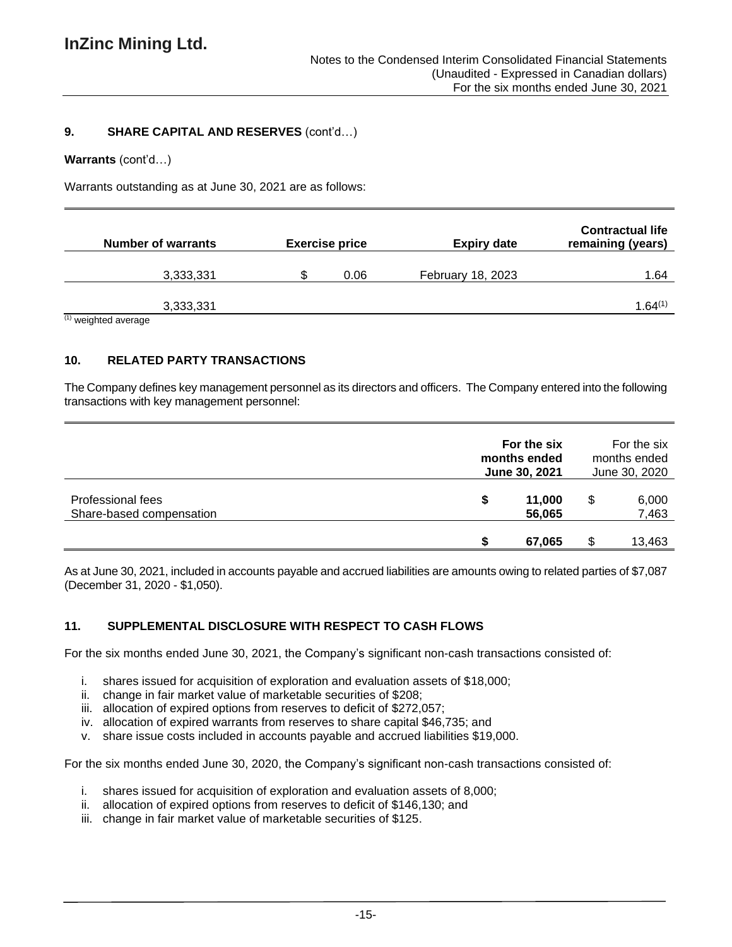## **9. SHARE CAPITAL AND RESERVES** (cont'd…)

#### **Warrants** (cont'd…)

Warrants outstanding as at June 30, 2021 are as follows:

|                      | <b>Number of warrants</b> | <b>Exercise price</b> | Expiry date              | <b>Contractual life</b><br>remaining (years) |
|----------------------|---------------------------|-----------------------|--------------------------|----------------------------------------------|
|                      | 3,333,331                 | 0.06                  | <b>February 18, 2023</b> | 1.64                                         |
| Approve hatdpiew (1) | 3,333,331                 |                       |                          | 1.64(1)                                      |

weighted average

## **10. RELATED PARTY TRANSACTIONS**

The Company defines key management personnel as its directors and officers. The Company entered into the following transactions with key management personnel:

|                                               | For the six<br>months ended<br>June 30, 2021 |   | For the six<br>months ended<br>June 30, 2020 |  |
|-----------------------------------------------|----------------------------------------------|---|----------------------------------------------|--|
| Professional fees<br>Share-based compensation | \$<br>11,000<br>56,065                       | S | 6,000<br>7,463                               |  |
|                                               | 67,065                                       |   | 13,463                                       |  |

As at June 30, 2021, included in accounts payable and accrued liabilities are amounts owing to related parties of \$7,087 (December 31, 2020 - \$1,050).

#### **11. SUPPLEMENTAL DISCLOSURE WITH RESPECT TO CASH FLOWS**

For the six months ended June 30, 2021, the Company's significant non-cash transactions consisted of:

- i. shares issued for acquisition of exploration and evaluation assets of \$18,000;
- ii. change in fair market value of marketable securities of \$208;
- iii. allocation of expired options from reserves to deficit of \$272,057;
- iv. allocation of expired warrants from reserves to share capital \$46,735; and
- v. share issue costs included in accounts payable and accrued liabilities \$19,000.

For the six months ended June 30, 2020, the Company's significant non-cash transactions consisted of:

- i. shares issued for acquisition of exploration and evaluation assets of 8,000;
- ii. allocation of expired options from reserves to deficit of \$146,130; and
- iii. change in fair market value of marketable securities of \$125.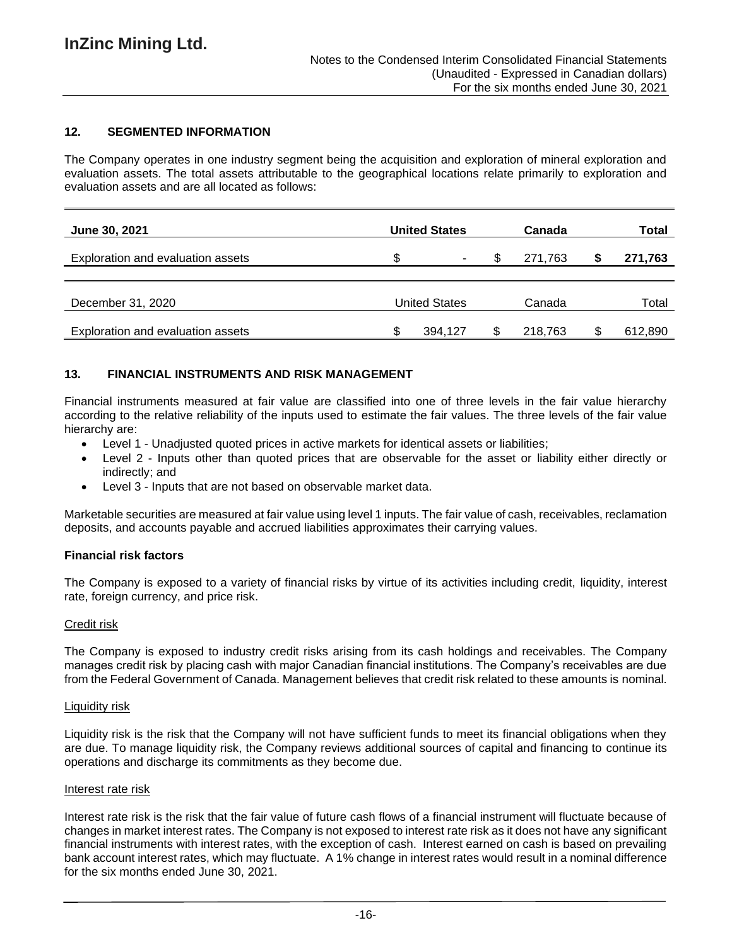# **12. SEGMENTED INFORMATION**

The Company operates in one industry segment being the acquisition and exploration of mineral exploration and evaluation assets. The total assets attributable to the geographical locations relate primarily to exploration and evaluation assets and are all located as follows:

| June 30, 2021                            |   | <b>United States</b> | Canada  | Total   |
|------------------------------------------|---|----------------------|---------|---------|
| Exploration and evaluation assets        | S | ۰                    | 271.763 | 271,763 |
| December 31, 2020                        |   | United States        | Canada  | Total   |
| <b>Exploration and evaluation assets</b> |   | 394,127              | 218,763 | 612,890 |

## **13. FINANCIAL INSTRUMENTS AND RISK MANAGEMENT**

Financial instruments measured at fair value are classified into one of three levels in the fair value hierarchy according to the relative reliability of the inputs used to estimate the fair values. The three levels of the fair value hierarchy are:

- Level 1 Unadjusted quoted prices in active markets for identical assets or liabilities;
- Level 2 Inputs other than quoted prices that are observable for the asset or liability either directly or indirectly; and
- Level 3 Inputs that are not based on observable market data.

Marketable securities are measured at fair value using level 1 inputs. The fair value of cash, receivables, reclamation deposits, and accounts payable and accrued liabilities approximates their carrying values.

#### **Financial risk factors**

The Company is exposed to a variety of financial risks by virtue of its activities including credit, liquidity, interest rate, foreign currency, and price risk.

#### Credit risk

The Company is exposed to industry credit risks arising from its cash holdings and receivables. The Company manages credit risk by placing cash with major Canadian financial institutions. The Company's receivables are due from the Federal Government of Canada. Management believes that credit risk related to these amounts is nominal.

#### Liquidity risk

Liquidity risk is the risk that the Company will not have sufficient funds to meet its financial obligations when they are due. To manage liquidity risk, the Company reviews additional sources of capital and financing to continue its operations and discharge its commitments as they become due.

#### Interest rate risk

Interest rate risk is the risk that the fair value of future cash flows of a financial instrument will fluctuate because of changes in market interest rates. The Company is not exposed to interest rate risk as it does not have any significant financial instruments with interest rates, with the exception of cash. Interest earned on cash is based on prevailing bank account interest rates, which may fluctuate. A 1% change in interest rates would result in a nominal difference for the six months ended June 30, 2021.